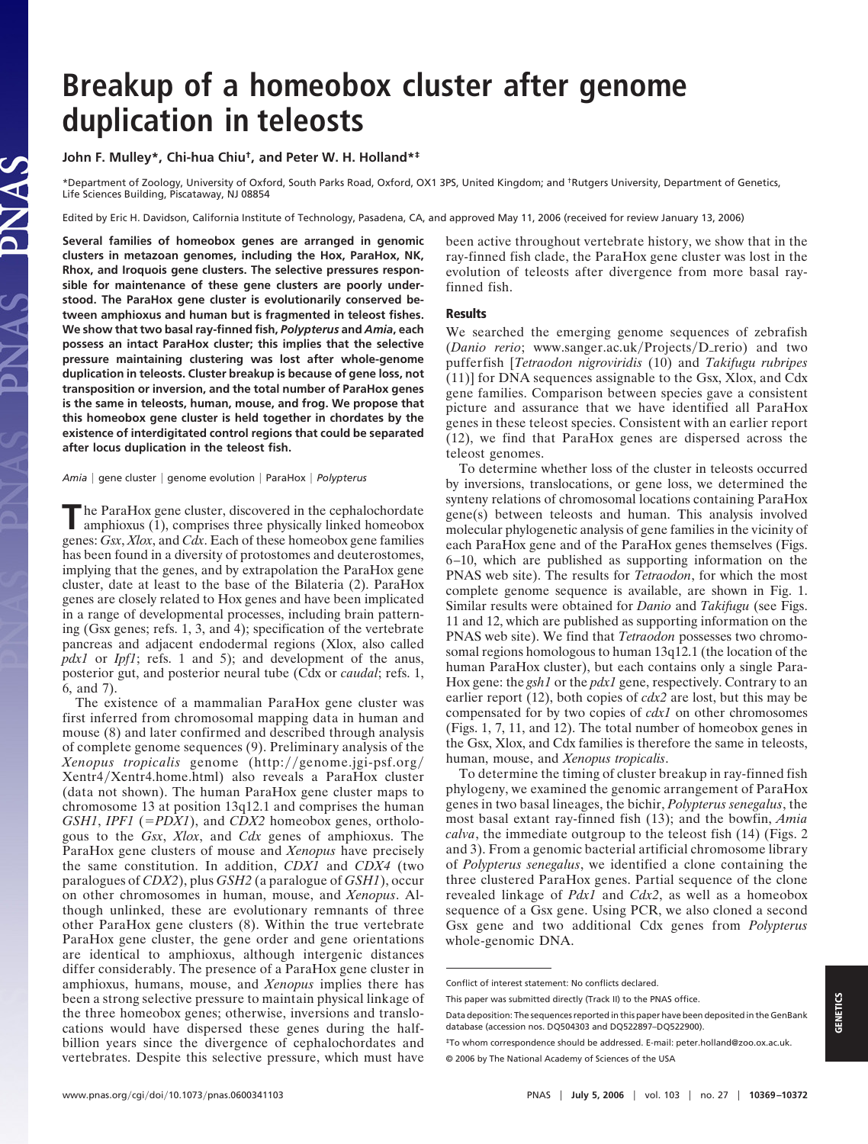# **Breakup of a homeobox cluster after genome duplication in teleosts**

## **John F. Mulley\*, Chi-hua Chiu†, and Peter W. H. Holland\*‡**

\*Department of Zoology, University of Oxford, South Parks Road, Oxford, OX1 3PS, United Kingdom; and †Rutgers University, Department of Genetics, Life Sciences Building, Piscataway, NJ 08854

Edited by Eric H. Davidson, California Institute of Technology, Pasadena, CA, and approved May 11, 2006 (received for review January 13, 2006)

**Several families of homeobox genes are arranged in genomic clusters in metazoan genomes, including the Hox, ParaHox, NK, Rhox, and Iroquois gene clusters. The selective pressures responsible for maintenance of these gene clusters are poorly understood. The ParaHox gene cluster is evolutionarily conserved between amphioxus and human but is fragmented in teleost fishes. We show that two basal ray-finned fish,** *Polypterus* **and** *Amia***, each possess an intact ParaHox cluster; this implies that the selective pressure maintaining clustering was lost after whole-genome duplication in teleosts. Cluster breakup is because of gene loss, not transposition or inversion, and the total number of ParaHox genes is the same in teleosts, human, mouse, and frog. We propose that this homeobox gene cluster is held together in chordates by the existence of interdigitated control regions that could be separated after locus duplication in the teleost fish.**

*Amia* | gene cluster | genome evolution | ParaHox | Polypterus

**T**he ParaHox gene cluster, discovered in the cephalochordate amphioxus (1), comprises three physically linked homeobox genes: *Gsx*, *Xlox*, and *Cdx*. Each of these homeobox gene families has been found in a diversity of protostomes and deuterostomes, implying that the genes, and by extrapolation the ParaHox gene cluster, date at least to the base of the Bilateria (2). ParaHox genes are closely related to Hox genes and have been implicated in a range of developmental processes, including brain patterning (Gsx genes; refs. 1, 3, and 4); specification of the vertebrate pancreas and adjacent endodermal regions (Xlox, also called *pdx1* or *Ipf1*; refs. 1 and 5); and development of the anus, posterior gut, and posterior neural tube (Cdx or *caudal*; refs. 1, 6, and 7).

The existence of a mammalian ParaHox gene cluster was first inferred from chromosomal mapping data in human and mouse (8) and later confirmed and described through analysis of complete genome sequences (9). Preliminary analysis of the Xenopus tropicalis genome (http://genome.jgi-psf.org/ Xentr4-Xentr4.home.html) also reveals a ParaHox cluster (data not shown). The human ParaHox gene cluster maps to chromosome 13 at position 13q12.1 and comprises the human *GSH1*, *IPF1* (*PDX1*), and *CDX2* homeobox genes, orthologous to the *Gsx*, *Xlox*, and *Cdx* genes of amphioxus. The ParaHox gene clusters of mouse and *Xenopus* have precisely the same constitution. In addition, *CDX1* and *CDX4* (two paralogues of *CDX2*), plus *GSH2* (a paralogue of *GSH1*), occur on other chromosomes in human, mouse, and *Xenopus*. Although unlinked, these are evolutionary remnants of three other ParaHox gene clusters (8). Within the true vertebrate ParaHox gene cluster, the gene order and gene orientations are identical to amphioxus, although intergenic distances differ considerably. The presence of a ParaHox gene cluster in amphioxus, humans, mouse, and *Xenopus* implies there has been a strong selective pressure to maintain physical linkage of the three homeobox genes; otherwise, inversions and translocations would have dispersed these genes during the halfbillion years since the divergence of cephalochordates and vertebrates. Despite this selective pressure, which must have

been active throughout vertebrate history, we show that in the ray-finned fish clade, the ParaHox gene cluster was lost in the evolution of teleosts after divergence from more basal rayfinned fish.

## **Results**

We searched the emerging genome sequences of zebrafish (*Danio rerio*; www.sanger.ac.uk/Projects/D\_rerio) and two pufferfish [*Tetraodon nigroviridis* (10) and *Takifugu rubripes* (11)] for DNA sequences assignable to the Gsx, Xlox, and Cdx gene families. Comparison between species gave a consistent picture and assurance that we have identified all ParaHox genes in these teleost species. Consistent with an earlier report (12), we find that ParaHox genes are dispersed across the teleost genomes.

To determine whether loss of the cluster in teleosts occurred by inversions, translocations, or gene loss, we determined the synteny relations of chromosomal locations containing ParaHox gene(s) between teleosts and human. This analysis involved molecular phylogenetic analysis of gene families in the vicinity of each ParaHox gene and of the ParaHox genes themselves (Figs. 6–10, which are published as supporting information on the PNAS web site). The results for *Tetraodon*, for which the most complete genome sequence is available, are shown in Fig. 1. Similar results were obtained for *Danio* and *Takifugu* (see Figs. 11 and 12, which are published as supporting information on the PNAS web site). We find that *Tetraodon* possesses two chromosomal regions homologous to human 13q12.1 (the location of the human ParaHox cluster), but each contains only a single Para-Hox gene: the *gsh1* or the *pdx1* gene, respectively. Contrary to an earlier report (12), both copies of *cdx2* are lost, but this may be compensated for by two copies of *cdx1* on other chromosomes (Figs. 1, 7, 11, and 12). The total number of homeobox genes in the Gsx, Xlox, and Cdx families is therefore the same in teleosts, human, mouse, and *Xenopus tropicalis*.

To determine the timing of cluster breakup in ray-finned fish phylogeny, we examined the genomic arrangement of ParaHox genes in two basal lineages, the bichir, *Polypterus senegalus*, the most basal extant ray-finned fish (13); and the bowfin, *Amia calva*, the immediate outgroup to the teleost fish (14) (Figs. 2 and 3). From a genomic bacterial artificial chromosome library of *Polypterus senegalus*, we identified a clone containing the three clustered ParaHox genes. Partial sequence of the clone revealed linkage of *Pdx1* and *Cdx2*, as well as a homeobox sequence of a Gsx gene. Using PCR, we also cloned a second Gsx gene and two additional Cdx genes from *Polypterus* whole-genomic DNA.

Conflict of interest statement: No conflicts declared.

This paper was submitted directly (Track II) to the PNAS office.

Data deposition: The sequences reported in this paper have been deposited in the GenBank database (accession nos. DQ504303 and DQ522897–DQ522900).

<sup>‡</sup>To whom correspondence should be addressed. E-mail: peter.holland@zoo.ox.ac.uk. © 2006 by The National Academy of Sciences of the USA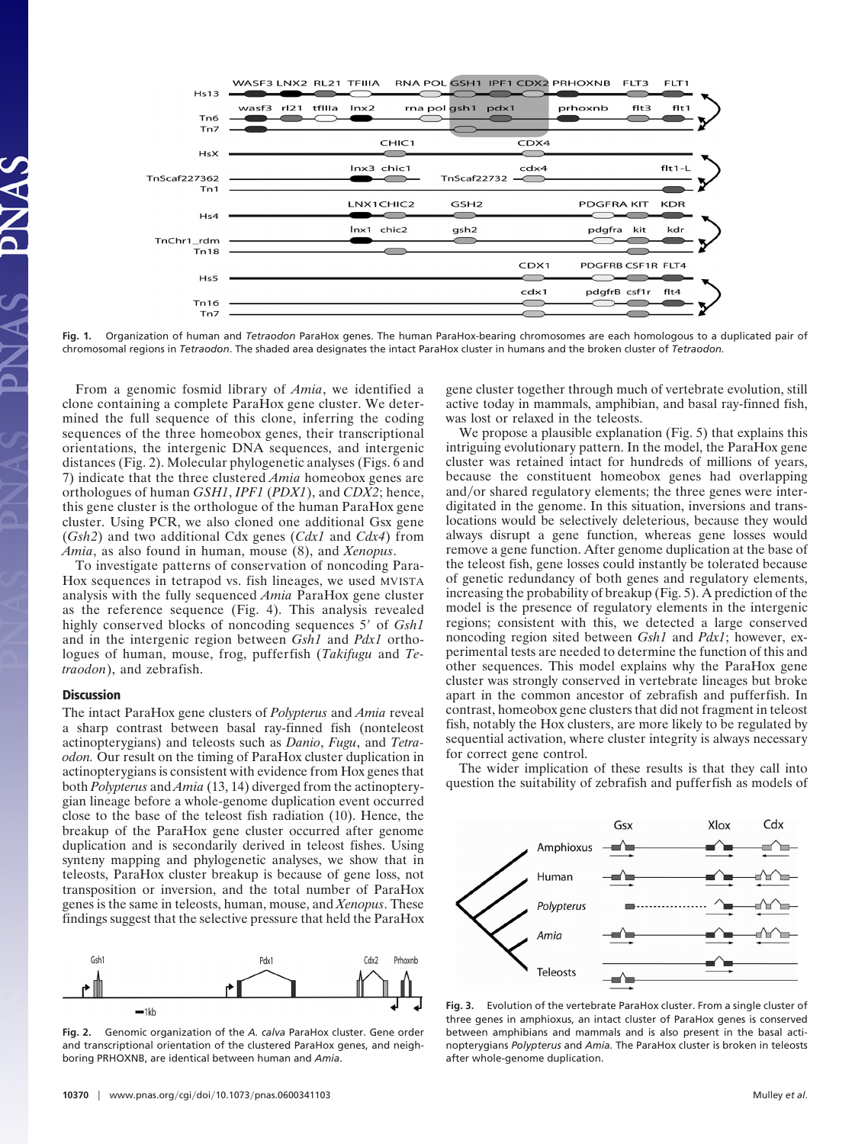

**Fig. 1.** Organization of human and *Tetraodon* ParaHox genes. The human ParaHox-bearing chromosomes are each homologous to a duplicated pair of chromosomal regions in *Tetraodon*. The shaded area designates the intact ParaHox cluster in humans and the broken cluster of *Tetraodon.*

From a genomic fosmid library of *Amia*, we identified a clone containing a complete ParaHox gene cluster. We determined the full sequence of this clone, inferring the coding sequences of the three homeobox genes, their transcriptional orientations, the intergenic DNA sequences, and intergenic distances (Fig. 2). Molecular phylogenetic analyses (Figs. 6 and 7) indicate that the three clustered *Amia* homeobox genes are orthologues of human *GSH1*, *IPF1* (*PDX1*), and *CDX2*; hence, this gene cluster is the orthologue of the human ParaHox gene cluster. Using PCR, we also cloned one additional Gsx gene (*Gsh2*) and two additional Cdx genes (*Cdx1* and *Cdx4*) from *Amia*, as also found in human, mouse (8), and *Xenopus*.

To investigate patterns of conservation of noncoding Para-Hox sequences in tetrapod vs. fish lineages, we used MVISTA analysis with the fully sequenced *Amia* ParaHox gene cluster as the reference sequence (Fig. 4). This analysis revealed highly conserved blocks of noncoding sequences 5' of *Gsh1* and in the intergenic region between *Gsh1* and *Pdx1* orthologues of human, mouse, frog, pufferfish (*Takifugu* and *Tetraodon*), and zebrafish.

### **Discussion**

The intact ParaHox gene clusters of *Polypterus* and *Amia* reveal a sharp contrast between basal ray-finned fish (nonteleost actinopterygians) and teleosts such as *Danio*, *Fugu*, and *Tetraodon.* Our result on the timing of ParaHox cluster duplication in actinopterygians is consistent with evidence from Hox genes that both *Polypterus* and *Amia* (13, 14) diverged from the actinopterygian lineage before a whole-genome duplication event occurred close to the base of the teleost fish radiation (10). Hence, the breakup of the ParaHox gene cluster occurred after genome duplication and is secondarily derived in teleost fishes. Using synteny mapping and phylogenetic analyses, we show that in teleosts, ParaHox cluster breakup is because of gene loss, not transposition or inversion, and the total number of ParaHox genes is the same in teleosts, human, mouse, and *Xenopus*. These findings suggest that the selective pressure that held the ParaHox



**Fig. 2.** Genomic organization of the *A. calva* ParaHox cluster. Gene order and transcriptional orientation of the clustered ParaHox genes, and neighboring PRHOXNB, are identical between human and *Amia*.

We propose a plausible explanation (Fig. 5) that explains this intriguing evolutionary pattern. In the model, the ParaHox gene cluster was retained intact for hundreds of millions of years,

was lost or relaxed in the teleosts.

because the constituent homeobox genes had overlapping and/or shared regulatory elements; the three genes were interdigitated in the genome. In this situation, inversions and translocations would be selectively deleterious, because they would always disrupt a gene function, whereas gene losses would remove a gene function. After genome duplication at the base of the teleost fish, gene losses could instantly be tolerated because of genetic redundancy of both genes and regulatory elements, increasing the probability of breakup (Fig. 5). A prediction of the model is the presence of regulatory elements in the intergenic regions; consistent with this, we detected a large conserved noncoding region sited between *Gsh1* and *Pdx1*; however, experimental tests are needed to determine the function of this and other sequences. This model explains why the ParaHox gene cluster was strongly conserved in vertebrate lineages but broke apart in the common ancestor of zebrafish and pufferfish. In contrast, homeobox gene clusters that did not fragment in teleost fish, notably the Hox clusters, are more likely to be regulated by sequential activation, where cluster integrity is always necessary for correct gene control.

gene cluster together through much of vertebrate evolution, still active today in mammals, amphibian, and basal ray-finned fish,

The wider implication of these results is that they call into question the suitability of zebrafish and pufferfish as models of



**Fig. 3.** Evolution of the vertebrate ParaHox cluster. From a single cluster of three genes in amphioxus, an intact cluster of ParaHox genes is conserved between amphibians and mammals and is also present in the basal actinopterygians *Polypterus* and *Amia.* The ParaHox cluster is broken in teleosts after whole-genome duplication.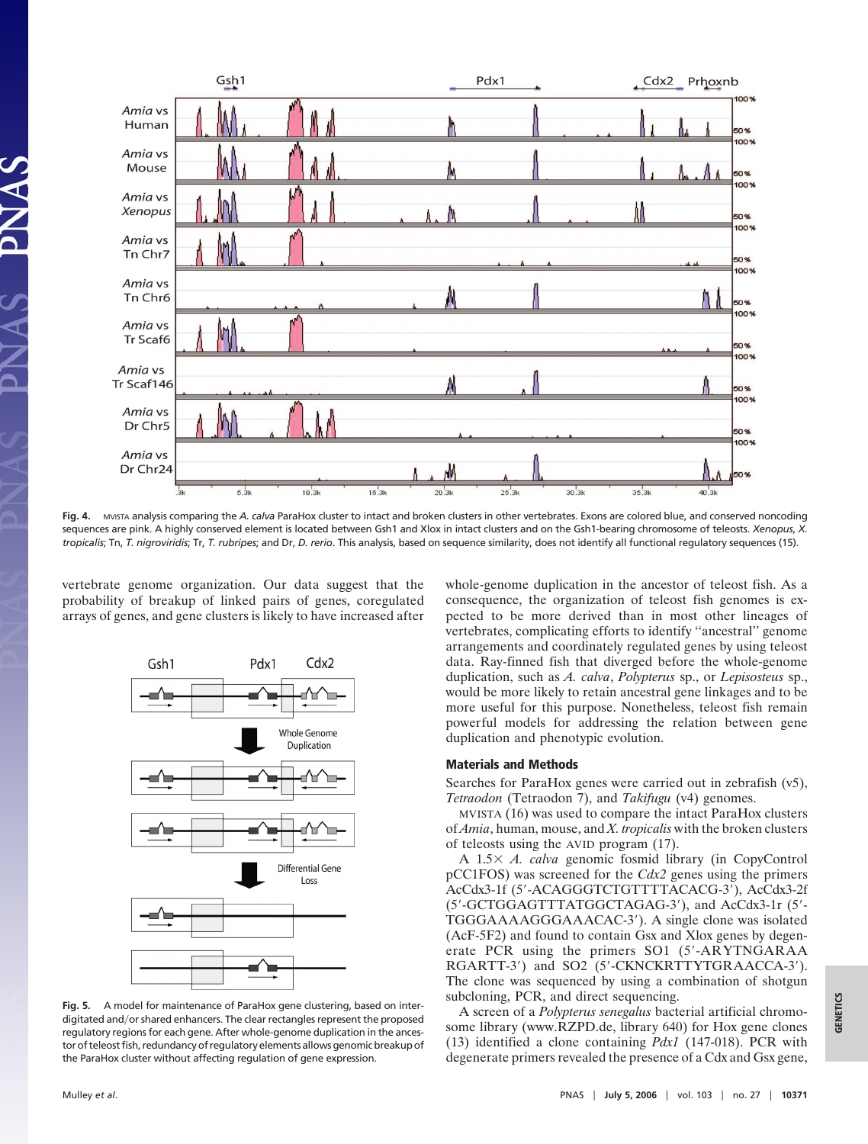

**Fig. 4.** MVISTA analysis comparing the *A. calva* ParaHox cluster to intact and broken clusters in other vertebrates. Exons are colored blue, and conserved noncoding sequences are pink. A highly conserved element is located between Gsh1 and Xlox in intact clusters and on the Gsh1-bearing chromosome of teleosts. *Xenopus*, *X. tropicalis*; Tn, *T. nigroviridis*; Tr, *T. rubripes*; and Dr, *D. rerio*. This analysis, based on sequence similarity, does not identify all functional regulatory sequences (15).

vertebrate genome organization. Our data suggest that the probability of breakup of linked pairs of genes, coregulated arrays of genes, and gene clusters is likely to have increased after



**Fig. 5.** A model for maintenance of ParaHox gene clustering, based on interdigitated and/or shared enhancers. The clear rectangles represent the proposed regulatory regions for each gene. After whole-genome duplication in the ancestor of teleost fish, redundancy of regulatory elements allows genomic breakup of the ParaHox cluster without affecting regulation of gene expression.

whole-genome duplication in the ancestor of teleost fish. As a consequence, the organization of teleost fish genomes is expected to be more derived than in most other lineages of vertebrates, complicating efforts to identify ''ancestral'' genome arrangements and coordinately regulated genes by using teleost data. Ray-finned fish that diverged before the whole-genome duplication, such as *A. calva*, *Polypterus* sp., or *Lepisosteus* sp., would be more likely to retain ancestral gene linkages and to be more useful for this purpose. Nonetheless, teleost fish remain powerful models for addressing the relation between gene duplication and phenotypic evolution.

#### **Materials and Methods**

Searches for ParaHox genes were carried out in zebrafish (v5), *Tetraodon* (Tetraodon 7), and *Takifugu* (v4) genomes.

MVISTA (16) was used to compare the intact ParaHox clusters of *Amia*, human, mouse, and *X. tropicalis* with the broken clusters of teleosts using the AVID program (17).

A 1.5 *A. calva* genomic fosmid library (in CopyControl pCC1FOS) was screened for the *Cdx2* genes using the primers AcCdx3-1f (5'-ACAGGGTCTGTTTTACACG-3'), AcCdx3-2f (5'-GCTGGAGTTTATGGCTAGAG-3'), and AcCdx3-1r (5'-TGGGAAAAGGGAAACAC-3'). A single clone was isolated (AcF-5F2) and found to contain Gsx and Xlox genes by degenerate PCR using the primers SO1 (5'-ARYTNGARAA RGARTT-3') and SO2 (5'-CKNCKRTTYTGRAACCA-3'). The clone was sequenced by using a combination of shotgun subcloning, PCR, and direct sequencing.

A screen of a *Polypterus senegalus* bacterial artificial chromosome library (www.RZPD.de, library 640) for Hox gene clones (13) identified a clone containing *Pdx1* (147-018). PCR with degenerate primers revealed the presence of a Cdx and Gsx gene,